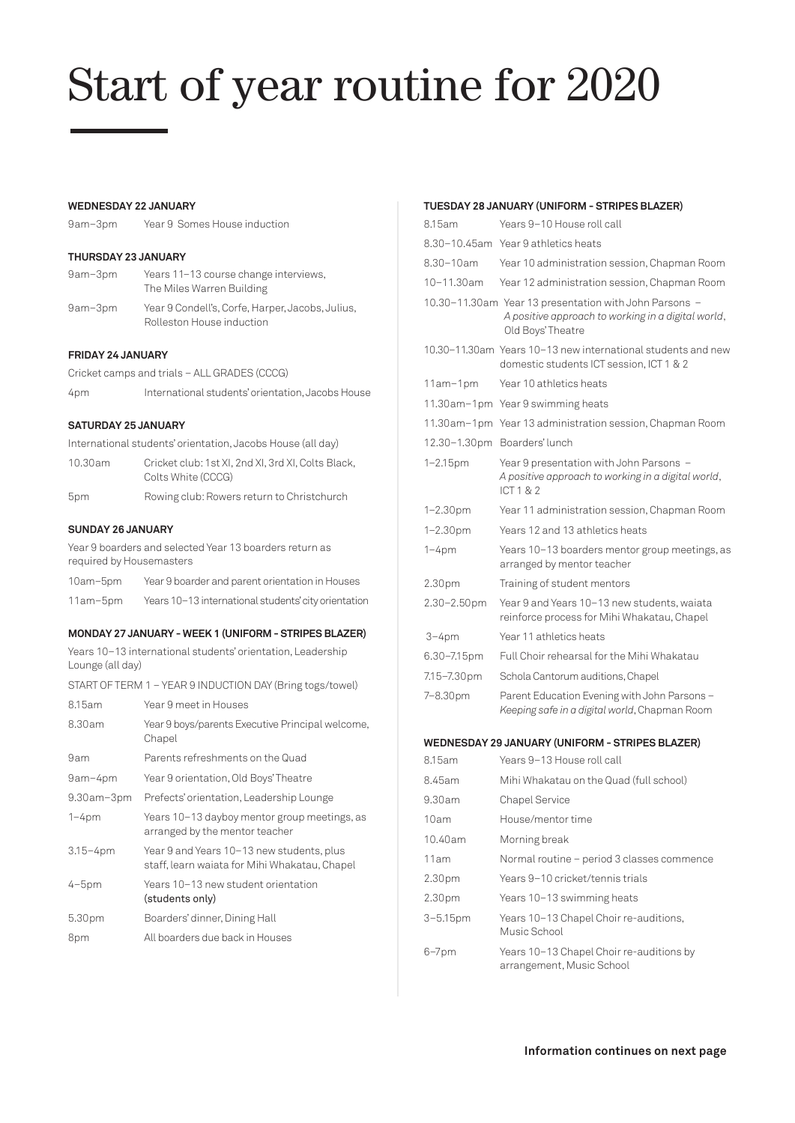# Start of year routine for 2020

#### **WEDNESDAY 22 JANUARY**

9am–3pm Year 9 Somes House induction

# **THURSDAY 23 JANUARY**

| 9am-3pm | Years 11-13 course change interviews,<br>The Miles Warren Building            |
|---------|-------------------------------------------------------------------------------|
| 9am-3pm | Year 9 Condell's, Corfe, Harper, Jacobs, Julius,<br>Rolleston House induction |

#### **FRIDAY 24 JANUARY**

Cricket camps and trials – ALL GRADES (CCCG)

| 4pm |  | International students' orientation, Jacobs House |
|-----|--|---------------------------------------------------|
|     |  |                                                   |

# **SATURDAY 25 JANUARY**

International students' orientation, Jacobs House (all day)

| 10.30am | Cricket club: 1st XI, 2nd XI, 3rd XI, Colts Black, |
|---------|----------------------------------------------------|
|         | Colts White (CCCG)                                 |
| 5pm     | Rowing club: Rowers return to Christchurch         |

#### **SUNDAY 26 JANUARY**

Year 9 boarders and selected Year 13 boarders return as required by Housemasters

| 10am-5pm | Year 9 boarder and parent orientation in Houses      |
|----------|------------------------------------------------------|
| 11am-5pm | Years 10-13 international students' city orientation |

# **MONDAY 27 JANUARY - WEEK 1 (UNIFORM - STRIPES BLAZER)**

Years 10–13 international students' orientation, Leadership Lounge (all day)

START OF TERM 1 – YEAR 9 INDUCTION DAY (Bring togs/towel)

| 8.15am       | Year 9 meet in Houses                                                                      |
|--------------|--------------------------------------------------------------------------------------------|
| 8.30am       | Year 9 boys/parents Executive Principal welcome,<br>Chapel                                 |
| 9am          | Parents refreshments on the Quad                                                           |
| 9am-4pm      | Year 9 orientation, Old Boys' Theatre                                                      |
| 9.30am-3pm   | Prefects' orientation, Leadership Lounge                                                   |
| $1 - 4pm$    | Years 10-13 dayboy mentor group meetings, as<br>arranged by the mentor teacher             |
| $3.15 - 4pm$ | Year 9 and Years 10-13 new students, plus<br>staff, learn waiata for Mihi Whakatau, Chapel |
| $4-5pm$      | Years 10-13 new student orientation<br>(students only)                                     |
| 5.30pm       | Boarders' dinner, Dining Hall                                                              |
| 8pm          | All boarders due back in Houses                                                            |

# **TUESDAY 28 JANUARY (UNIFORM - STRIPES BLAZER)**

| 8.15am             | Years 9-10 House roll call                                                                                                        |
|--------------------|-----------------------------------------------------------------------------------------------------------------------------------|
|                    | 8.30-10.45am Year 9 athletics heats                                                                                               |
| $8.30 - 10$ am     | Year 10 administration session, Chapman Room                                                                                      |
| 10-11.30am         | Year 12 administration session, Chapman Room                                                                                      |
|                    | 10.30-11.30am Year 13 presentation with John Parsons -<br>A positive approach to working in a digital world,<br>Old Boys' Theatre |
|                    | 10.30-11.30am Years 10-13 new international students and new<br>domestic students ICT session, ICT 1 & 2                          |
| 11am-1pm           | Year 10 athletics heats                                                                                                           |
| 11.30am-1pm        | Year 9 swimming heats                                                                                                             |
| 11.30am-1pm        | Year 13 administration session, Chapman Room                                                                                      |
|                    | 12.30-1.30pm Boarders' lunch                                                                                                      |
| $1 - 2.15$ pm      | Year 9 presentation with John Parsons -<br>A positive approach to working in a digital world,<br>ICT1&2                           |
| $1 - 2.30$ pm      | Year 11 administration session, Chapman Room                                                                                      |
| $1 - 2.30$ pm      | Years 12 and 13 athletics heats                                                                                                   |
| $1 - 4pm$          | Years 10-13 boarders mentor group meetings, as<br>arranged by mentor teacher                                                      |
| 2.30 <sub>pm</sub> | Training of student mentors                                                                                                       |
| 2.30-2.50pm        | Year 9 and Years 10-13 new students, waiata<br>reinforce process for Mihi Whakatau, Chapel                                        |
| $3 - 4pm$          | Year 11 athletics heats                                                                                                           |
| 6.30-7.15pm        | Full Choir rehearsal for the Mihi Whakatau                                                                                        |
| 7.15-7.30pm        | Schola Cantorum auditions, Chapel                                                                                                 |
| 7-8.30pm           | Parent Education Evening with John Parsons -<br>Keeping safe in a digital world, Chapman Room                                     |
|                    | <b>WEDNESDAY 29 JANUARY (UNIFORM - STRIPES BLAZER)</b>                                                                            |
| 8.15am             | Years 9–13 House roll call                                                                                                        |
| 8.45am             | Mihi Whakatau on the Quad (full school)                                                                                           |
| 9.30am             | <b>Chapel Service</b>                                                                                                             |
| 10am               | House/mentor time                                                                                                                 |
| 10.40am            | Morning break                                                                                                                     |
| 11am               | Normal routine - period 3 classes commence                                                                                        |
| 2.30 <sub>pm</sub> | Years 9–10 cricket/tennis trials                                                                                                  |
| 2.30pm             | Years 10-13 swimming heats                                                                                                        |

Music School 6–7pm Years 10–13 Chapel Choir re-auditions by arrangement, Music School

3–5.15pm Years 10–13 Chapel Choir re-auditions,